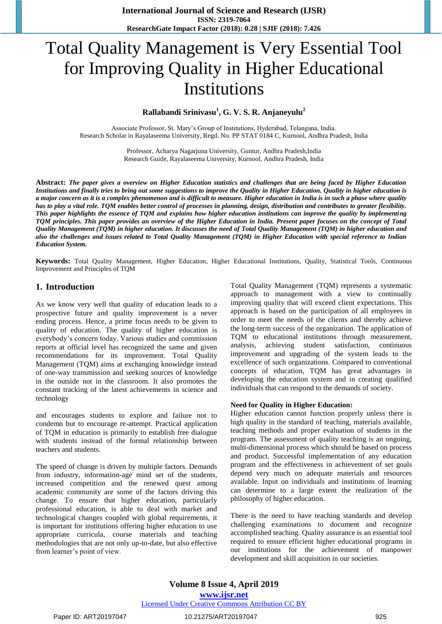# Total Quality Management is Very Essential Tool for Improving Quality in Higher Educational Institutions

**Rallabandi Srinivasu<sup>1</sup> , G. V. S. R. Anjaneyulu<sup>2</sup>**

Associate Professor, St. Mary's Group of Institutions, Hyderabad, Telangana, India. Research Scholar in Rayalaseema University, Regd. No. PP STAT 0184 C, Kurnool, Andhra Pradesh, India

> Professor, Acharya Nagarjuna University, Guntur, Andhra Pradesh,India Research Guide, Rayalaseema University, Kurnool, Andhra Pradesh, India

**Abstract:** *The paper gives a overview on Higher Education statistics and challenges that are being faced by Higher Education Institutions and finally tries to bring out some suggestions to improve the Quality in Higher Education. Quality in higher education is a major concern as it is a complex phenomenon and is difficult to measure. Higher education in India is in such a phase where quality has to play a vital role. TQM enables better control of processes in planning, design, distribution and contributes to greater flexibility. This paper highlights the essence of TQM and explains how higher education institutions can improve the quality by implementing TQM principles. This paper provides an overview of the Higher Education in India. Present paper focuses on the concept of Total Quality Management (TQM) in higher education. It discusses the need of Total Quality Management (TQM) in higher education and also the challenges and issues related to Total Quality Management (TQM) in Higher Education with special reference to Indian Education System.* 

**Keywords:** Total Quality Management, Higher Education, Higher Educational Institutions, Quality, Statistical Tools, Continuous Improvement and Principles of TQM

# **1. Introduction**

As we know very well that quality of education leads to a prospective future and quality improvement is a never ending process. Hence, a prime focus needs to be given to quality of education. The quality of higher education is everybody's concern today. Various studies and commission reports at official level has recognized the same and given recommendations for its improvement. Total Quality Management (TQM) aims at exchanging knowledge instead of one-way transmission and seeking sources of knowledge in the outside not in the classroom. It also promotes the constant tracking of the latest achievements in science and technology

and encourages students to explore and failure not to condemn but to encourage re-attempt. Practical application of TQM in education is primarily to establish free dialogue with students instead of the formal relationship between teachers and students.

The speed of change is driven by multiple factors. Demands from industry, information-age mind set of the students, increased competition and the renewed quest among academic community are some of the factors driving this change. To ensure that higher education, particularly professional education, is able to deal with market and technological changes coupled with global requirements, it is important for institutions offering higher education to use appropriate curricula, course materials and teaching methodologies that are not only up-to-date, but also effective from learner's point of view.

Total Quality Management (TQM) represents a systematic approach to management with a view to continually improving quality that will exceed client expectations. This approach is based on the participation of all employees in order to meet the needs of the clients and thereby achieve the long-term success of the organization. The application of TQM to educational institutions through measurement, analysis, achieving student satisfaction, continuous improvement and upgrading of the system leads to the excellence of such organizations. Compared to conventional concepts of education, TQM has great advantages in developing the education system and in creating qualified individuals that can respond to the demands of society.

#### **Need for Quality in Higher Education:**

Higher education cannot function properly unless there is high quality in the standard of teaching, materials available, teaching methods and proper evaluation of students in the program. The assessment of quality teaching is an ongoing, multi-dimensional process which should be based on process and product. Successful implementation of any education program and the effectiveness in achievement of set goals depend very much on adequate materials and resources available. Input on individuals and institutions of learning can determine to a large extent the realization of the philosophy of higher education.

There is the need to have teaching standards and develop challenging examinations to document and recognize accomplished teaching. Quality assurance is an essential tool required to ensure efficient higher educational programs in our institutions for the achievement of manpower development and skill acquisition in our societies.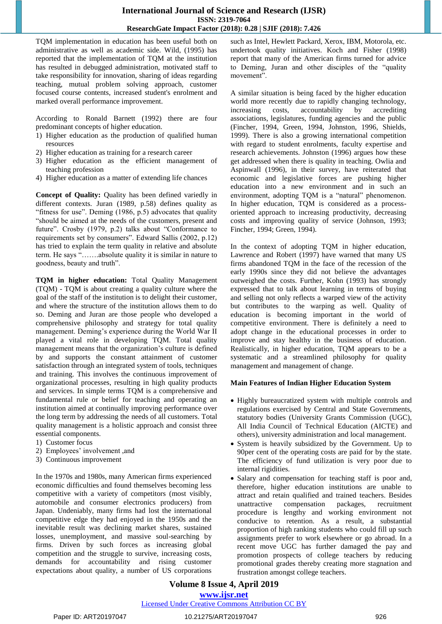## **International Journal of Science and Research (IJSR) ISSN: 2319-7064 ResearchGate Impact Factor (2018): 0.28 | SJIF (2018): 7.426**

TQM implementation in education has been useful both on administrative as well as academic side. Wild, (1995) has reported that the implementation of TQM at the institution has resulted in debugged administration, motivated staff to take responsibility for innovation, sharing of ideas regarding teaching, mutual problem solving approach, customer focused course contents, increased student's enrolment and marked overall performance improvement.

According to Ronald Barnett (1992) there are four predominant concepts of higher education.

- 1) Higher education as the production of qualified human resources
- 2) Higher education as training for a research career
- 3) Higher education as the efficient management of teaching profession
- 4) Higher education as a matter of extending life chances

**Concept of Quality:** Quality has been defined variedly in different contexts. Juran (1989, p.58) defines quality as "fitness for use". Deming (1986, p.5) advocates that quality "should be aimed at the needs of the customers, present and future". Crosby (1979, p.2) talks about "Conformance to requirements set by consumers". Edward Sallis (2002, p.12) has tried to explain the term quality in relative and absolute term. He says "…….absolute quality it is similar in nature to goodness, beauty and truth".

**TQM in higher education:** Total Quality Management (TQM) - TQM is about creating a quality culture where the goal of the staff of the institution is to delight their customer, and where the structure of the institution allows them to do so. Deming and Juran are those people who developed a comprehensive philosophy and strategy for total quality management. Deming's experience during the World War II played a vital role in developing TQM. Total quality management means that the organization's culture is defined by and supports the constant attainment of customer satisfaction through an integrated system of tools, techniques and training. This involves the continuous improvement of organizational processes, resulting in high quality products and services. In simple terms TQM is a comprehensive and fundamental rule or belief for teaching and operating an institution aimed at continually improving performance over the long term by addressing the needs of all customers. Total quality management is a holistic approach and consist three essential components.

- 1) Customer focus
- 2) Employees' involvement ,and
- 3) Continuous improvement

In the 1970s and 1980s, many American firms experienced economic difficulties and found themselves becoming less competitive with a variety of competitors (most visibly, automobile and consumer electronics producers) from Japan. Undeniably, many firms had lost the international competitive edge they had enjoyed in the 1950s and the inevitable result was declining market shares, sustained losses, unemployment, and massive soul-searching by firms. Driven by such forces as increasing global competition and the struggle to survive, increasing costs, demands for accountability and rising customer expectations about quality, a number of US corporations

such as Intel, Hewlett Packard, Xerox, IBM, Motorola, etc. undertook quality initiatives. Koch and Fisher (1998) report that many of the American firms turned for advice to Deming, Juran and other disciples of the "quality movement".

A similar situation is being faced by the higher education world more recently due to rapidly changing technology, increasing costs, accountability by accrediting associations, legislatures, funding agencies and the public (Fincher, 1994, Green, 1994, Johnston, 1996, Shields, 1999). There is also a growing international competition with regard to student enrolments, faculty expertise and research achievements. Johnston (1996) argues how these get addressed when there is quality in teaching. Owlia and Aspinwall (1996), in their survey, have reiterated that economic and legislative forces are pushing higher education into a new environment and in such an environment, adopting TQM is a "natural" phenomenon. In higher education, TQM is considered as a processoriented approach to increasing productivity, decreasing costs and improving quality of service (Johnson, 1993; Fincher, 1994; Green, 1994).

In the context of adopting TQM in higher education, Lawrence and Robert (1997) have warned that many US firms abandoned TQM in the face of the recession of the early 1990s since they did not believe the advantages outweighed the costs. Further, Kohn (1993) has strongly expressed that to talk about learning in terms of buying and selling not only reflects a warped view of the activity but contributes to the warping as well. Quality of education is becoming important in the world of competitive environment. There is definitely a need to adopt change in the educational processes in order to improve and stay healthy in the business of education. Realistically, in higher education, TQM appears to be a systematic and a streamlined philosophy for quality management and management of change.

#### **Main Features of Indian Higher Education System**

- Highly bureaucratized system with multiple controls and regulations exercised by Central and State Governments, statutory bodies (University Grants Commission (UGC), All India Council of Technical Education (AICTE) and others), university administration and local management.
- System is heavily subsidized by the Government. Up to 90per cent of the operating costs are paid for by the state. The efficiency of fund utilization is very poor due to internal rigidities.
- Salary and compensation for teaching staff is poor and, therefore, higher education institutions are unable to attract and retain qualified and trained teachers. Besides unattractive compensation packages, recruitment procedure is lengthy and working environment not conducive to retention. As a result, a substantial proportion of high ranking students who could fill up such assignments prefer to work elsewhere or go abroad. In a recent move UGC has further damaged the pay and promotion prospects of college teachers by reducing promotional grades thereby creating more stagnation and frustration amongst college teachers.

# **Volume 8 Issue 4, April 2019 www.ijsr.net**

#### Licensed Under Creative Commons Attribution CC BY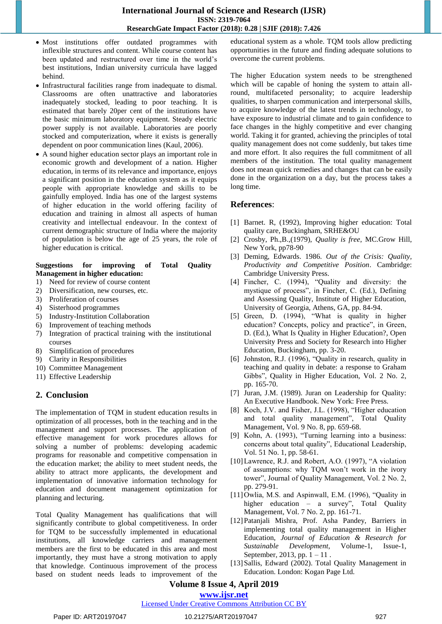# **International Journal of Science and Research (IJSR) ISSN: 2319-7064 ResearchGate Impact Factor (2018): 0.28 | SJIF (2018): 7.426**

- Most institutions offer outdated programmes with inflexible structures and content. While course content has been updated and restructured over time in the world's best institutions, Indian university curricula have lagged behind.
- Infrastructural facilities range from inadequate to dismal. Classrooms are often unattractive and laboratories inadequately stocked, leading to poor teaching. It is estimated that barely 20per cent of the institutions have the basic minimum laboratory equipment. Steady electric power supply is not available. Laboratories are poorly stocked and computerization, where it exists is generally dependent on poor communication lines (Kaul, 2006).
- A sound higher education sector plays an important role in economic growth and development of a nation. Higher education, in terms of its relevance and importance, enjoys a significant position in the education system as it equips people with appropriate knowledge and skills to be gainfully employed. India has one of the largest systems of higher education in the world offering facility of education and training in almost all aspects of human creativity and intellectual endeavour. In the context of current demographic structure of India where the majority of population is below the age of 25 years, the role of higher education is critical.

#### **Suggestions for improving of Total Quality Management in higher education:**

- 1) Need for review of course content
- 2) Diversification, new courses, etc.
- 3) Proliferation of courses
- 4) Sisterhood programmes<br>5) Industry-Institution Coll
- 5) Industry-Institution Collaboration
- 6) Improvement of teaching methods
- 7) Integration of practical training with the institutional courses
- 8) Simplification of procedures
- 9) Clarity in Responsibilities
- 10) Committee Management
- 11) Effective Leadership

# **2. Conclusion**

The implementation of TQM in student education results in optimization of all processes, both in the teaching and in the management and support processes. The application of effective management for work procedures allows for solving a number of problems: developing academic programs for reasonable and competitive compensation in the education market; the ability to meet student needs, the ability to attract more applicants, the development and implementation of innovative information technology for education and document management optimization for planning and lecturing.

Total Quality Management has qualifications that will significantly contribute to global competitiveness. In order for TQM to be successfully implemented in educational institutions, all knowledge carriers and management members are the first to be educated in this area and most importantly, they must have a strong motivation to apply that knowledge. Continuous improvement of the process based on student needs leads to improvement of the educational system as a whole. TQM tools allow predicting opportunities in the future and finding adequate solutions to overcome the current problems.

The higher Education system needs to be strengthened which will be capable of honing the system to attain allround, multifaceted personality; to acquire leadership qualities, to sharpen communication and interpersonal skills, to acquire knowledge of the latest trends in technology, to have exposure to industrial climate and to gain confidence to face changes in the highly competitive and ever changing world. Taking it for granted, achieving the principles of total quality management does not come suddenly, but takes time and more effort. It also requires the full commitment of all members of the institution. The total quality management does not mean quick remedies and changes that can be easily done in the organization on a day, but the process takes a long time.

# **References**:

- [1] Barnet. R, (1992), Improving higher education: Total quality care, Buckingham, SRHE&OU
- [2] Crosby, Ph.,B.,(1979), *Quality is free*, MC.Grow Hill, New York, pp78-90
- [3] Deming, Edwards. 1986. *Out of the Crisis: Quality, Productivity and Competitive Position*. Cambridge: Cambridge University Press.
- [4] Fincher, C. (1994), "Quality and diversity: the mystique of process", in Fincher, C. (Ed.), Defining and Assessing Quality, Institute of Higher Education, University of Georgia, Athens, GA, pp. 84-94.
- [5] Green, D. (1994), "What is quality in higher education? Concepts, policy and practice", in Green, D. (Ed.), What Is Quality in Higher Education?, Open University Press and Society for Research into Higher Education, Buckingham, pp. 3-20.
- [6] Johnston, R.J. (1996), "Quality in research, quality in teaching and quality in debate: a response to Graham Gibbs", Quality in Higher Education, Vol. 2 No. 2, pp. 165-70.
- [7] Juran, J.M. (1989). Juran on Leadership for Quality: An Executive Handbook. New York: Free Press.
- [8] Koch, J.V. and Fisher, J.L. (1998), "Higher education and total quality management", Total Quality Management, Vol. 9 No. 8, pp. 659-68.
- [9] Kohn, A. (1993), "Turning learning into a business: concerns about total quality", Educational Leadership, Vol. 51 No. 1, pp. 58-61.
- [10] Lawrence, R.J. and Robert, A.O. (1997), "A violation of assumptions: why TQM won't work in the ivory tower", Journal of Quality Management, Vol. 2 No. 2, pp. 279-91.
- [11]Owlia, M.S. and Aspinwall, E.M. (1996), "Ouality in higher education – a survey", Total Quality Management, Vol. 7 No. 2, pp. 161-71.
- [12]Patanjali Mishra, Prof. Asha Pandey, Barriers in implementing total quality management in Higher Education, *Journal of Education & Research for Sustainable Development*, Volume-1, Issue-1, September, 2013, pp.  $1 - 11$ .
- [13]Sallis, Edward (2002). Total Quality Management in Education. London: Kogan Page Ltd.

# **Volume 8 Issue 4, April 2019**

#### **www.ijsr.net**

## Licensed Under Creative Commons Attribution CC BY